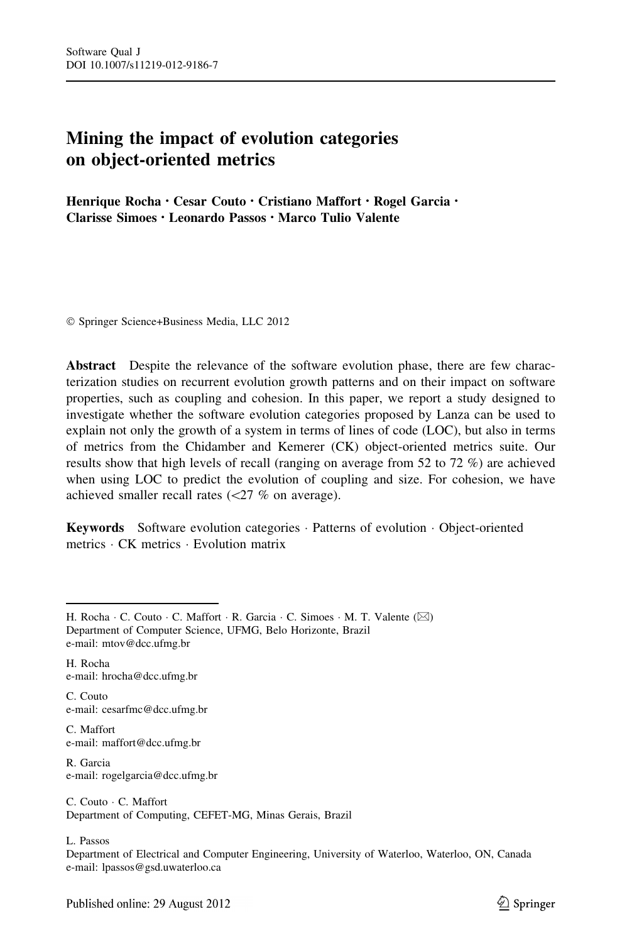# Mining the impact of evolution categories on object-oriented metrics

Henrique Rocha • Cesar Couto • Cristiano Maffort • Rogel Garcia • Clarisse Simoes • Leonardo Passos • Marco Tulio Valente

- Springer Science+Business Media, LLC 2012

Abstract Despite the relevance of the software evolution phase, there are few characterization studies on recurrent evolution growth patterns and on their impact on software properties, such as coupling and cohesion. In this paper, we report a study designed to investigate whether the software evolution categories proposed by Lanza can be used to explain not only the growth of a system in terms of lines of code (LOC), but also in terms of metrics from the Chidamber and Kemerer (CK) object-oriented metrics suite. Our results show that high levels of recall (ranging on average from 52 to 72 %) are achieved when using LOC to predict the evolution of coupling and size. For cohesion, we have achieved smaller recall rates  $\langle \langle 27 \, \% \rangle$  on average).

Keywords Software evolution categories - Patterns of evolution - Object-oriented metrics - CK metrics - Evolution matrix

- H. Rocha e-mail: hrocha@dcc.ufmg.br
- C. Couto e-mail: cesarfmc@dcc.ufmg.br
- C. Maffort e-mail: maffort@dcc.ufmg.br

R. Garcia e-mail: rogelgarcia@dcc.ufmg.br

H. Rocha · C. Couto · C. Maffort · R. Garcia · C. Simoes · M. T. Valente ( $\boxtimes$ ) Department of Computer Science, UFMG, Belo Horizonte, Brazil e-mail: mtov@dcc.ufmg.br

C. Couto - C. Maffort Department of Computing, CEFET-MG, Minas Gerais, Brazil

L. Passos

Department of Electrical and Computer Engineering, University of Waterloo, Waterloo, ON, Canada e-mail: lpassos@gsd.uwaterloo.ca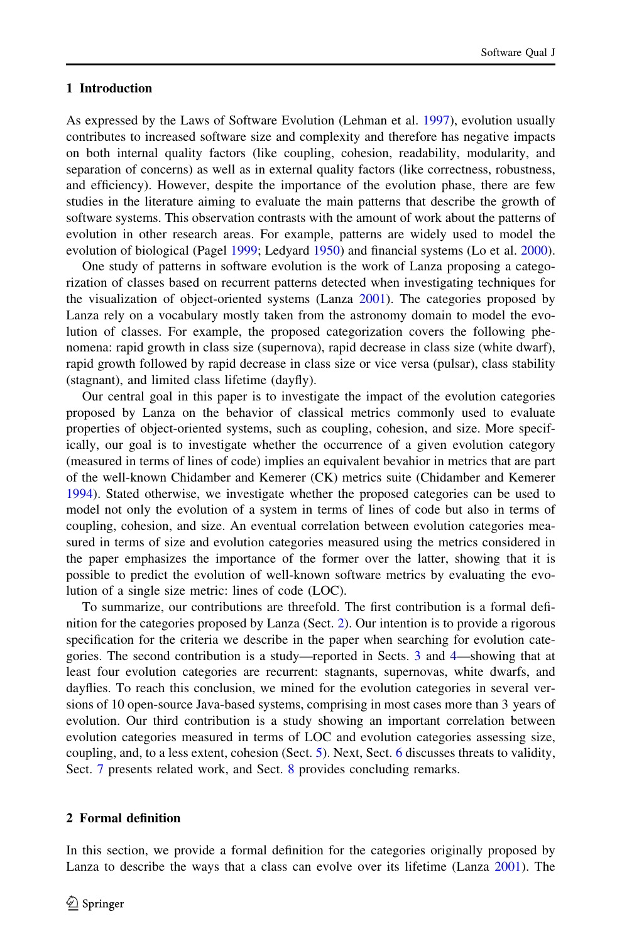## <span id="page-1-0"></span>1 Introduction

As expressed by the Laws of Software Evolution (Lehman et al. [1997\)](#page-18-0), evolution usually contributes to increased software size and complexity and therefore has negative impacts on both internal quality factors (like coupling, cohesion, readability, modularity, and separation of concerns) as well as in external quality factors (like correctness, robustness, and efficiency). However, despite the importance of the evolution phase, there are few studies in the literature aiming to evaluate the main patterns that describe the growth of software systems. This observation contrasts with the amount of work about the patterns of evolution in other research areas. For example, patterns are widely used to model the evolution of biological (Pagel [1999;](#page-18-0) Ledyard [1950](#page-18-0)) and financial systems (Lo et al. [2000](#page-18-0)).

One study of patterns in software evolution is the work of Lanza proposing a categorization of classes based on recurrent patterns detected when investigating techniques for the visualization of object-oriented systems (Lanza [2001\)](#page-18-0). The categories proposed by Lanza rely on a vocabulary mostly taken from the astronomy domain to model the evolution of classes. For example, the proposed categorization covers the following phenomena: rapid growth in class size (supernova), rapid decrease in class size (white dwarf), rapid growth followed by rapid decrease in class size or vice versa (pulsar), class stability (stagnant), and limited class lifetime (dayfly).

Our central goal in this paper is to investigate the impact of the evolution categories proposed by Lanza on the behavior of classical metrics commonly used to evaluate properties of object-oriented systems, such as coupling, cohesion, and size. More specifically, our goal is to investigate whether the occurrence of a given evolution category (measured in terms of lines of code) implies an equivalent bevahior in metrics that are part of the well-known Chidamber and Kemerer (CK) metrics suite (Chidamber and Kemerer [1994\)](#page-17-0). Stated otherwise, we investigate whether the proposed categories can be used to model not only the evolution of a system in terms of lines of code but also in terms of coupling, cohesion, and size. An eventual correlation between evolution categories measured in terms of size and evolution categories measured using the metrics considered in the paper emphasizes the importance of the former over the latter, showing that it is possible to predict the evolution of well-known software metrics by evaluating the evolution of a single size metric: lines of code (LOC).

To summarize, our contributions are threefold. The first contribution is a formal definition for the categories proposed by Lanza (Sect. 2). Our intention is to provide a rigorous specification for the criteria we describe in the paper when searching for evolution categories. The second contribution is a study—reported in Sects. [3](#page-4-0) and [4—](#page-7-0)showing that at least four evolution categories are recurrent: stagnants, supernovas, white dwarfs, and dayflies. To reach this conclusion, we mined for the evolution categories in several versions of 10 open-source Java-based systems, comprising in most cases more than 3 years of evolution. Our third contribution is a study showing an important correlation between evolution categories measured in terms of LOC and evolution categories assessing size, coupling, and, to a less extent, cohesion (Sect. [5\)](#page-11-0). Next, Sect. [6](#page-15-0) discusses threats to validity, Sect. [7](#page-15-0) presents related work, and Sect. [8](#page-17-0) provides concluding remarks.

#### 2 Formal definition

In this section, we provide a formal definition for the categories originally proposed by Lanza to describe the ways that a class can evolve over its lifetime (Lanza [2001\)](#page-18-0). The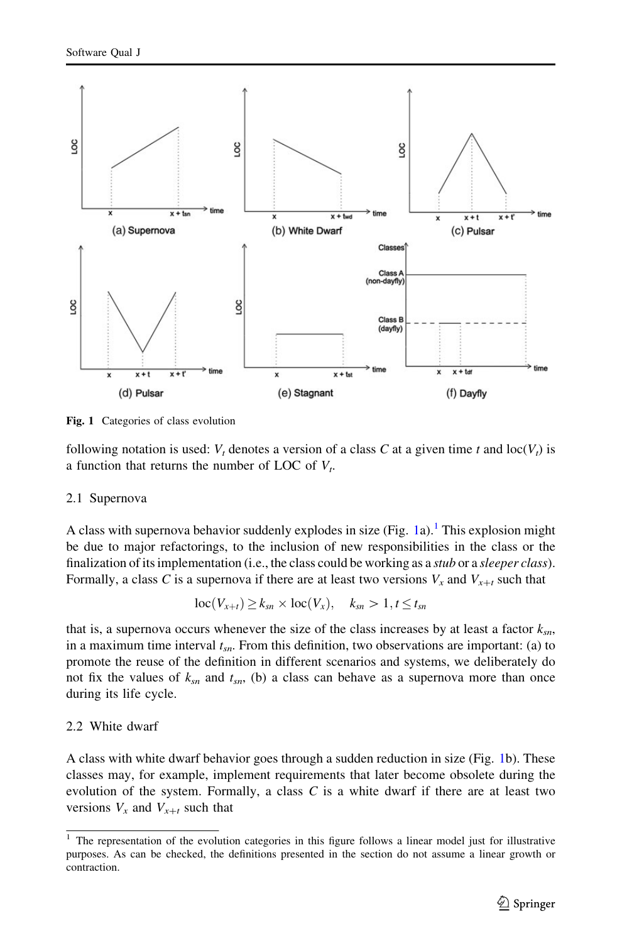<span id="page-2-0"></span>

Fig. 1 Categories of class evolution

following notation is used:  $V_t$  denotes a version of a class C at a given time t and loc( $V_t$ ) is a function that returns the number of LOC of  $V_t$ .

#### 2.1 Supernova

A class with supernova behavior suddenly explodes in size (Fig. 1a).<sup>1</sup> This explosion might be due to major refactorings, to the inclusion of new responsibilities in the class or the finalization of its implementation (i.e., the class could be working as a *stub* or a *sleeper class*). Formally, a class C is a supernova if there are at least two versions  $V_x$  and  $V_{x+t}$  such that

$$
\mathrm{loc}(V_{x+t})\geq k_{sn}\times \mathrm{loc}(V_x),\quad k_{sn}>1, t\leq t_{sn}
$$

that is, a supernova occurs whenever the size of the class increases by at least a factor  $k_{sn}$ , in a maximum time interval  $t_{sn}$ . From this definition, two observations are important: (a) to promote the reuse of the definition in different scenarios and systems, we deliberately do not fix the values of  $k_{sn}$  and  $t_{sn}$ , (b) a class can behave as a supernova more than once during its life cycle.

#### 2.2 White dwarf

A class with white dwarf behavior goes through a sudden reduction in size (Fig. 1b). These classes may, for example, implement requirements that later become obsolete during the evolution of the system. Formally, a class  $C$  is a white dwarf if there are at least two versions  $V_x$  and  $V_{x+t}$  such that

<sup>&</sup>lt;sup>1</sup> The representation of the evolution categories in this figure follows a linear model just for illustrative purposes. As can be checked, the definitions presented in the section do not assume a linear growth or contraction.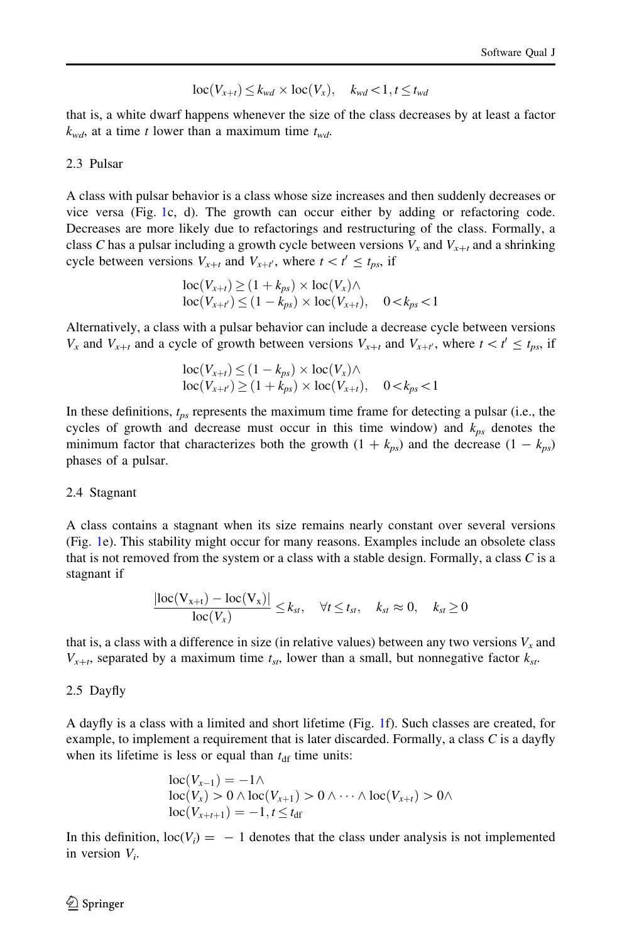$$
\mathrm{loc}(V_{x+t}) \le k_{wd} \times \mathrm{loc}(V_x), \quad k_{wd} < 1, t \le t_{wd}
$$

that is, a white dwarf happens whenever the size of the class decreases by at least a factor  $k_{wd}$ , at a time t lower than a maximum time  $t_{wd}$ .

## 2.3 Pulsar

A class with pulsar behavior is a class whose size increases and then suddenly decreases or vice versa (Fig. [1c](#page-2-0), d). The growth can occur either by adding or refactoring code. Decreases are more likely due to refactorings and restructuring of the class. Formally, a class C has a pulsar including a growth cycle between versions  $V_x$  and  $V_{x+t}$  and a shrinking cycle between versions  $V_{x+t}$  and  $V_{x+t'}$ , where  $t < t' \le t_{ps}$ , if

$$
loc(Vx+t) \ge (1 + kps) \times loc(Vx) \wedge
$$
  

$$
loc(Vx+t') \le (1 - kps) \times loc(Vx+t), \quad 0 < kps < 1
$$

Alternatively, a class with a pulsar behavior can include a decrease cycle between versions  $V_x$  and  $V_{x+t}$  and a cycle of growth between versions  $V_{x+t}$  and  $V_{x+t'}$ , where  $t < t' \le t_{ps}$ , if

$$
loc(Vx+t) \le (1 - kps) \times loc(Vx) \wedge
$$
  

$$
loc(Vx+t') \ge (1 + kps) \times loc(Vx+t), \quad 0 < kps < 1
$$

In these definitions,  $t_{ps}$  represents the maximum time frame for detecting a pulsar (i.e., the cycles of growth and decrease must occur in this time window) and  $k_{ps}$  denotes the minimum factor that characterizes both the growth  $(1 + k_{ps})$  and the decrease  $(1 - k_{ps})$ phases of a pulsar.

#### 2.4 Stagnant

A class contains a stagnant when its size remains nearly constant over several versions (Fig. [1e](#page-2-0)). This stability might occur for many reasons. Examples include an obsolete class that is not removed from the system or a class with a stable design. Formally, a class  $C$  is a stagnant if

$$
\frac{|\text{loc}(\mathbf{V}_{x+t}) - \text{loc}(\mathbf{V}_x)|}{\text{loc}(V_x)} \le k_{st}, \quad \forall t \le t_{st}, \quad k_{st} \approx 0, \quad k_{st} \ge 0
$$

that is, a class with a difference in size (in relative values) between any two versions  $V<sub>x</sub>$  and  $V_{x+t}$ , separated by a maximum time  $t_{st}$ , lower than a small, but nonnegative factor  $k_{st}$ .

#### 2.5 Dayfly

A dayfly is a class with a limited and short lifetime (Fig. [1f](#page-2-0)). Such classes are created, for example, to implement a requirement that is later discarded. Formally, a class  $C$  is a dayfly when its lifetime is less or equal than  $t_{df}$  time units:

$$
loc(V_{x-1}) = -1 \wedge
$$
  
\n
$$
loc(V_x) > 0 \wedge loc(V_{x+1}) > 0 \wedge \cdots \wedge loc(V_{x+t}) > 0 \wedge
$$
  
\n
$$
loc(V_{x+t+1}) = -1, t \leq t_{df}
$$

In this definition,  $loc(V_i) = -1$  denotes that the class under analysis is not implemented in version  $V_i$ .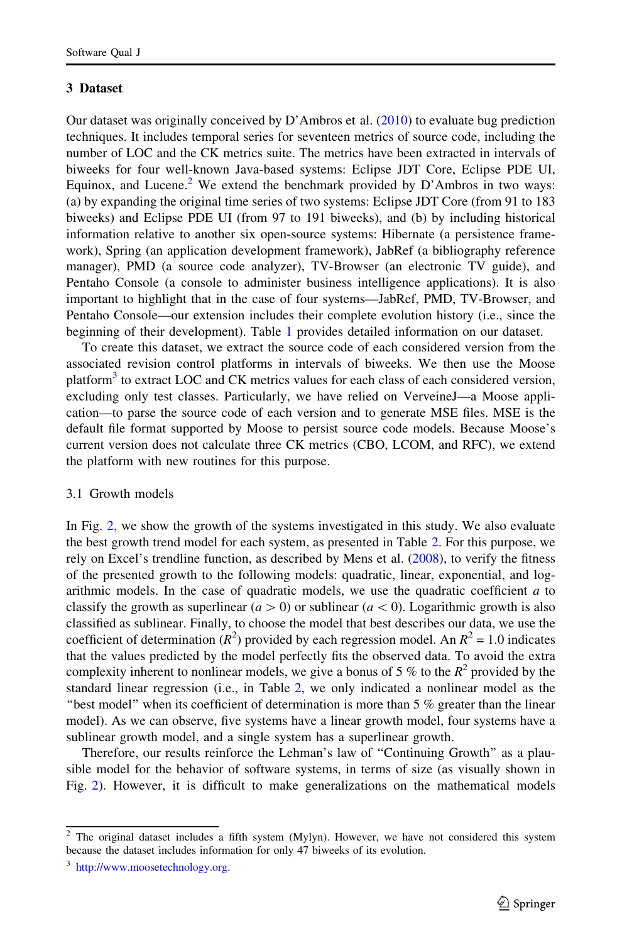#### <span id="page-4-0"></span>3 Dataset

Our dataset was originally conceived by D'Ambros et al. [\(2010](#page-17-0)) to evaluate bug prediction techniques. It includes temporal series for seventeen metrics of source code, including the number of LOC and the CK metrics suite. The metrics have been extracted in intervals of biweeks for four well-known Java-based systems: Eclipse JDT Core, Eclipse PDE UI, Equinox, and Lucene.<sup>2</sup> We extend the benchmark provided by D'Ambros in two ways: (a) by expanding the original time series of two systems: Eclipse JDT Core (from 91 to 183 biweeks) and Eclipse PDE UI (from 97 to 191 biweeks), and (b) by including historical information relative to another six open-source systems: Hibernate (a persistence framework), Spring (an application development framework), JabRef (a bibliography reference manager), PMD (a source code analyzer), TV-Browser (an electronic TV guide), and Pentaho Console (a console to administer business intelligence applications). It is also important to highlight that in the case of four systems—JabRef, PMD, TV-Browser, and Pentaho Console—our extension includes their complete evolution history (i.e., since the beginning of their development). Table [1](#page-5-0) provides detailed information on our dataset.

To create this dataset, we extract the source code of each considered version from the associated revision control platforms in intervals of biweeks. We then use the Moose platform<sup>3</sup> to extract LOC and CK metrics values for each class of each considered version, excluding only test classes. Particularly, we have relied on VerveineJ—a Moose application—to parse the source code of each version and to generate MSE files. MSE is the default file format supported by Moose to persist source code models. Because Moose's current version does not calculate three CK metrics (CBO, LCOM, and RFC), we extend the platform with new routines for this purpose.

#### 3.1 Growth models

In Fig. [2,](#page-5-0) we show the growth of the systems investigated in this study. We also evaluate the best growth trend model for each system, as presented in Table [2.](#page-6-0) For this purpose, we rely on Excel's trendline function, as described by Mens et al. ([2008](#page-18-0)), to verify the fitness of the presented growth to the following models: quadratic, linear, exponential, and logarithmic models. In the case of quadratic models, we use the quadratic coefficient  $a$  to classify the growth as superlinear  $(a>0)$  or sublinear  $(a<0)$ . Logarithmic growth is also classified as sublinear. Finally, to choose the model that best describes our data, we use the coefficient of determination  $(R^2)$  provided by each regression model. An  $R^2 = 1.0$  indicates that the values predicted by the model perfectly fits the observed data. To avoid the extra complexity inherent to nonlinear models, we give a bonus of 5 % to the  $R^2$  provided by the standard linear regression (i.e., in Table [2,](#page-6-0) we only indicated a nonlinear model as the "best model" when its coefficient of determination is more than  $5\%$  greater than the linear model). As we can observe, five systems have a linear growth model, four systems have a sublinear growth model, and a single system has a superlinear growth.

Therefore, our results reinforce the Lehman's law of ''Continuing Growth'' as a plausible model for the behavior of software systems, in terms of size (as visually shown in Fig. [2\)](#page-5-0). However, it is difficult to make generalizations on the mathematical models

<sup>2</sup> The original dataset includes a fifth system (Mylyn). However, we have not considered this system because the dataset includes information for only 47 biweeks of its evolution.

<sup>3</sup> [http://www.moosetechnology.org.](http://www.moosetechnology.org)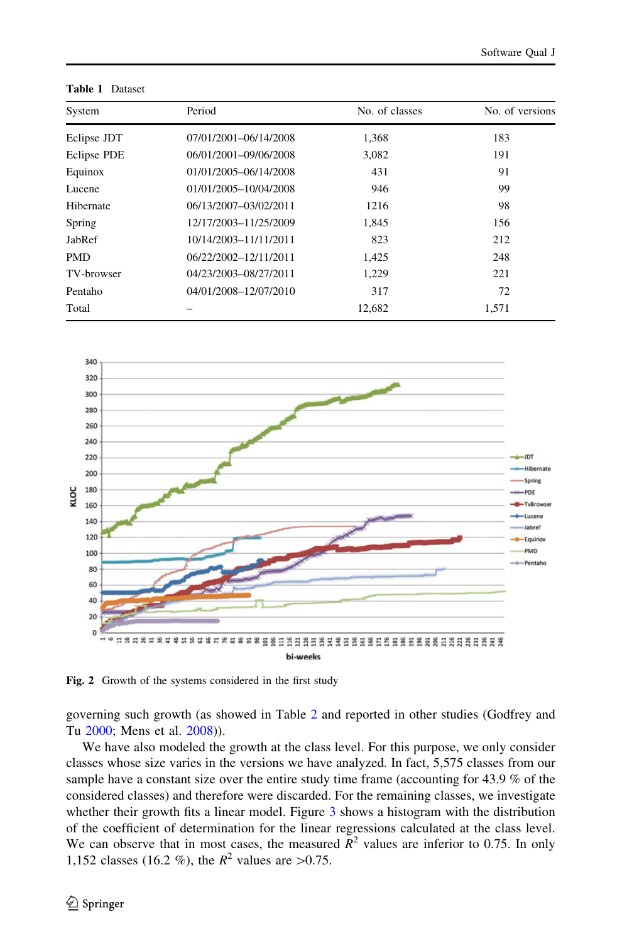| System             | Period                | No. of classes | No. of versions |
|--------------------|-----------------------|----------------|-----------------|
| Eclipse JDT        | 07/01/2001-06/14/2008 | 1,368          | 183             |
| <b>Eclipse PDE</b> | 06/01/2001-09/06/2008 | 3,082          | 191             |
| Equinox            | 01/01/2005-06/14/2008 | 431            | 91              |
| Lucene             | 01/01/2005-10/04/2008 | 946            | 99              |
| Hibernate          | 06/13/2007-03/02/2011 | 1216           | 98              |
| Spring             | 12/17/2003-11/25/2009 | 1,845          | 156             |
| JabRef             | 10/14/2003-11/11/2011 | 823            | 212             |
| <b>PMD</b>         | 06/22/2002-12/11/2011 | 1.425          | 248             |
| TV-browser         | 04/23/2003-08/27/2011 | 1,229          | 221             |
| Pentaho            | 04/01/2008-12/07/2010 | 317            | 72              |
| Total              |                       | 12.682         | 1.571           |



Fig. 2 Growth of the systems considered in the first study

governing such growth (as showed in Table [2](#page-6-0) and reported in other studies (Godfrey and Tu [2000](#page-17-0); Mens et al. [2008\)](#page-18-0)).

We have also modeled the growth at the class level. For this purpose, we only consider classes whose size varies in the versions we have analyzed. In fact, 5,575 classes from our sample have a constant size over the entire study time frame (accounting for 43.9 % of the considered classes) and therefore were discarded. For the remaining classes, we investigate whether their growth fits a linear model. Figure [3](#page-6-0) shows a histogram with the distribution of the coefficient of determination for the linear regressions calculated at the class level. We can observe that in most cases, the measured  $R^2$  values are inferior to 0.75. In only 1,152 classes (16.2 %), the  $R^2$  values are  $>0.75$ .

#### <span id="page-5-0"></span>Table 1 Dataset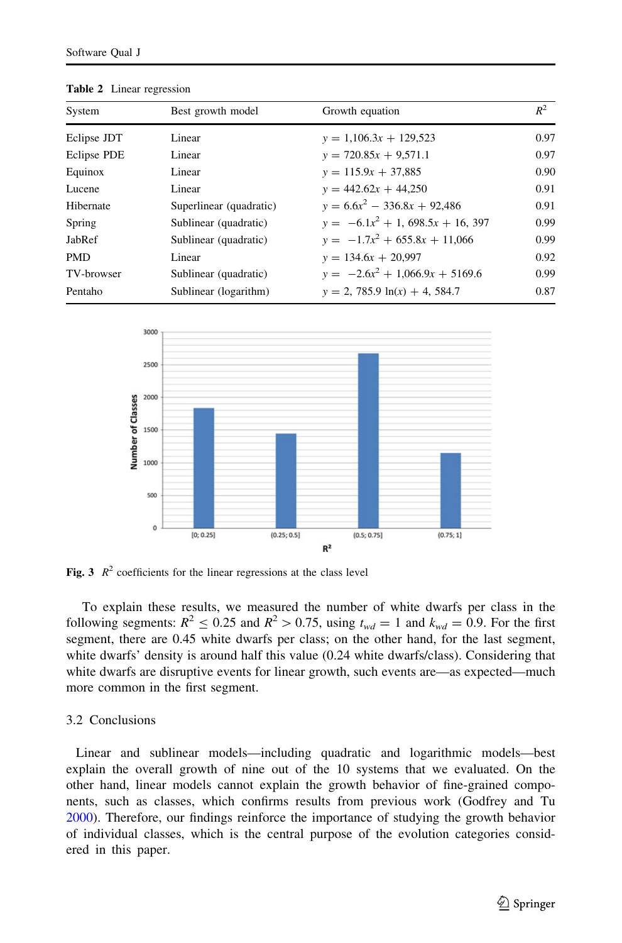| System             | Best growth model       | Growth equation                   | $R^2$ |
|--------------------|-------------------------|-----------------------------------|-------|
| Eclipse JDT        | Linear                  | $y = 1,106.3x + 129,523$          | 0.97  |
| <b>Eclipse PDE</b> | Linear                  | $y = 720.85x + 9.571.1$           | 0.97  |
| Equinox            | Linear                  | $y = 115.9x + 37.885$             | 0.90  |
| Lucene             | Linear                  | $y = 442.62x + 44.250$            | 0.91  |
| Hibernate          | Superlinear (quadratic) | $y = 6.6x^2 - 336.8x + 92,486$    | 0.91  |
| Spring             | Sublinear (quadratic)   | $y = -6.1x^2 + 1,698.5x + 16,397$ | 0.99  |
| JabRef             | Sublinear (quadratic)   | $y = -1.7x^2 + 655.8x + 11,066$   | 0.99  |
| <b>PMD</b>         | Linear                  | $y = 134.6x + 20.997$             | 0.92  |
| TV-browser         | Sublinear (quadratic)   | $y = -2.6x^2 + 1.066.9x + 5169.6$ | 0.99  |
| Pentaho            | Sublinear (logarithm)   | $y = 2,785.9 \ln(x) + 4,584.7$    | 0.87  |

<span id="page-6-0"></span>Table 2 Linear regression



Fig. 3  $R^2$  coefficients for the linear regressions at the class level

To explain these results, we measured the number of white dwarfs per class in the following segments:  $R^2 \le 0.25$  and  $R^2 > 0.75$ , using  $t_{wd} = 1$  and  $k_{wd} = 0.9$ . For the first segment, there are 0.45 white dwarfs per class; on the other hand, for the last segment, white dwarfs' density is around half this value (0.24 white dwarfs/class). Considering that white dwarfs are disruptive events for linear growth, such events are—as expected—much more common in the first segment.

#### 3.2 Conclusions

Linear and sublinear models—including quadratic and logarithmic models—best explain the overall growth of nine out of the 10 systems that we evaluated. On the other hand, linear models cannot explain the growth behavior of fine-grained components, such as classes, which confirms results from previous work (Godfrey and Tu [2000\)](#page-17-0). Therefore, our findings reinforce the importance of studying the growth behavior of individual classes, which is the central purpose of the evolution categories considered in this paper.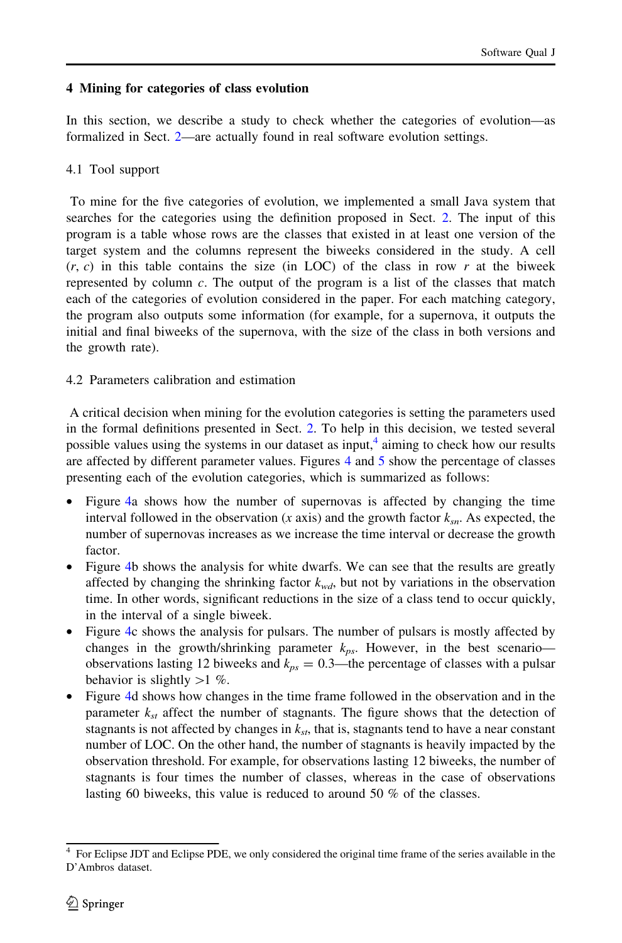# <span id="page-7-0"></span>4 Mining for categories of class evolution

In this section, we describe a study to check whether the categories of evolution—as formalized in Sect. [2](#page-1-0)—are actually found in real software evolution settings.

# 4.1 Tool support

To mine for the five categories of evolution, we implemented a small Java system that searches for the categories using the definition proposed in Sect. [2](#page-1-0). The input of this program is a table whose rows are the classes that existed in at least one version of the target system and the columns represent the biweeks considered in the study. A cell  $(r, c)$  in this table contains the size (in LOC) of the class in row r at the biweek represented by column  $c$ . The output of the program is a list of the classes that match each of the categories of evolution considered in the paper. For each matching category, the program also outputs some information (for example, for a supernova, it outputs the initial and final biweeks of the supernova, with the size of the class in both versions and the growth rate).

4.2 Parameters calibration and estimation

A critical decision when mining for the evolution categories is setting the parameters used in the formal definitions presented in Sect. [2.](#page-1-0) To help in this decision, we tested several possible values using the systems in our dataset as input, $4 \sinh n$  to check how our results are affected by different parameter values. Figures [4](#page-8-0) and [5](#page-9-0) show the percentage of classes presenting each of the evolution categories, which is summarized as follows:

- Figure [4](#page-8-0)a shows how the number of supernovas is affected by changing the time interval followed in the observation (x axis) and the growth factor  $k_{sn}$ . As expected, the number of supernovas increases as we increase the time interval or decrease the growth factor.
- Figure [4](#page-8-0)b shows the analysis for white dwarfs. We can see that the results are greatly affected by changing the shrinking factor  $k_{wd}$ , but not by variations in the observation time. In other words, significant reductions in the size of a class tend to occur quickly, in the interval of a single biweek.
- Figure [4](#page-8-0)c shows the analysis for pulsars. The number of pulsars is mostly affected by changes in the growth/shrinking parameter  $k_{ps}$ . However, in the best scenario observations lasting 12 biweeks and  $k_{ps} = 0.3$ —the percentage of classes with a pulsar behavior is slightly  $>1$  %.
- Figure [4](#page-8-0)d shows how changes in the time frame followed in the observation and in the parameter  $k_{st}$  affect the number of stagnants. The figure shows that the detection of stagnants is not affected by changes in  $k_{st}$ , that is, stagnants tend to have a near constant number of LOC. On the other hand, the number of stagnants is heavily impacted by the observation threshold. For example, for observations lasting 12 biweeks, the number of stagnants is four times the number of classes, whereas in the case of observations lasting 60 biweeks, this value is reduced to around 50 % of the classes.

<sup>4</sup> For Eclipse JDT and Eclipse PDE, we only considered the original time frame of the series available in the D'Ambros dataset.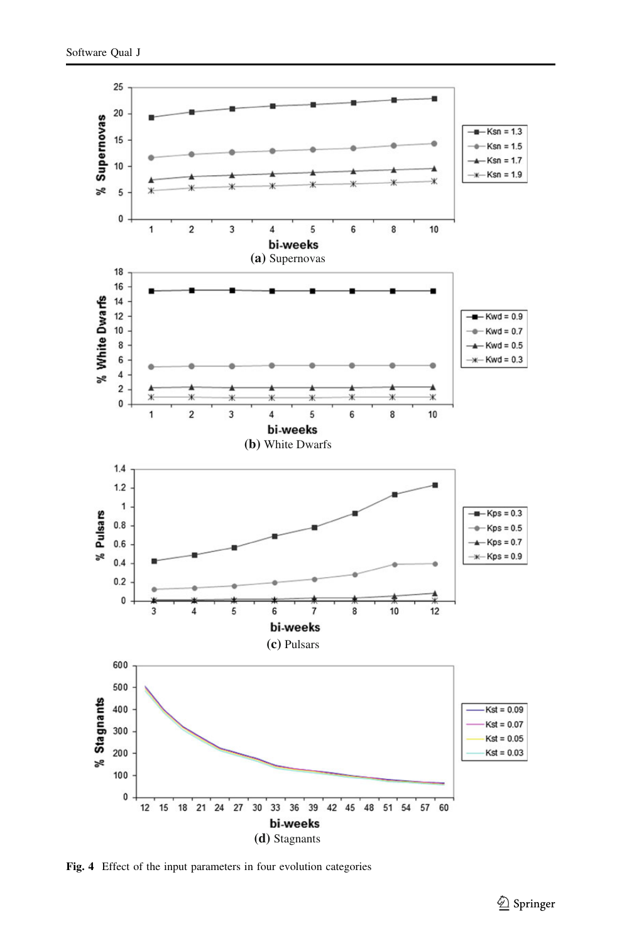<span id="page-8-0"></span>

Fig. 4 Effect of the input parameters in four evolution categories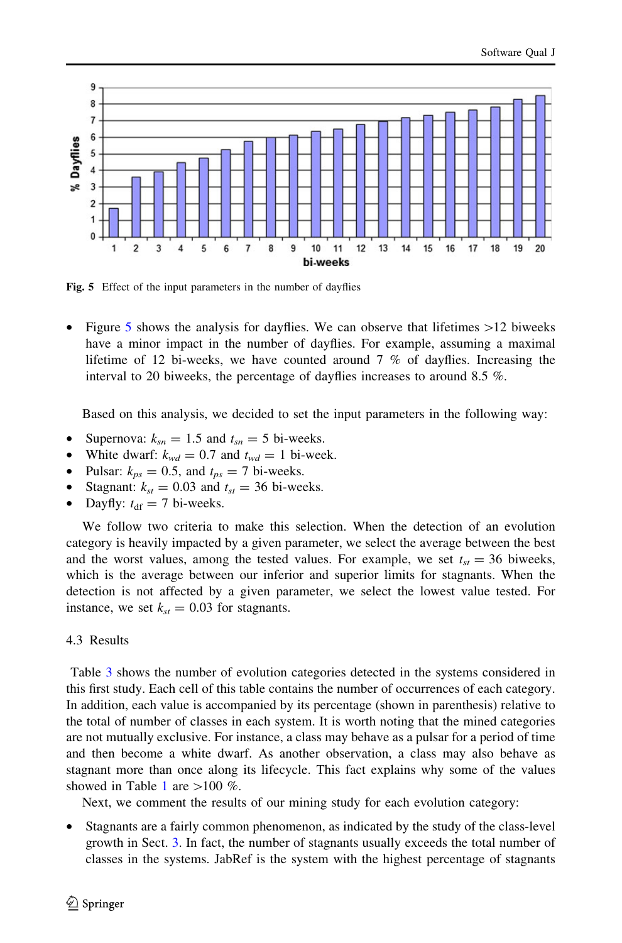<span id="page-9-0"></span>

Fig. 5 Effect of the input parameters in the number of dayflies

Figure 5 shows the analysis for dayflies. We can observe that lifetimes  $>12$  biweeks have a minor impact in the number of dayflies. For example, assuming a maximal lifetime of 12 bi-weeks, we have counted around 7 % of dayflies. Increasing the interval to 20 biweeks, the percentage of dayflies increases to around 8.5 %.

Based on this analysis, we decided to set the input parameters in the following way:

- Supernova:  $k_{sn} = 1.5$  and  $t_{sn} = 5$  bi-weeks.
- White dwarf:  $k_{wd} = 0.7$  and  $t_{wd} = 1$  bi-week.
- Pulsar:  $k_{ps} = 0.5$ , and  $t_{ps} = 7$  bi-weeks.
- Stagnant:  $k_{st} = 0.03$  and  $t_{st} = 36$  bi-weeks.
- Dayfly:  $t_{df} = 7$  bi-weeks.

We follow two criteria to make this selection. When the detection of an evolution category is heavily impacted by a given parameter, we select the average between the best and the worst values, among the tested values. For example, we set  $t_{st} = 36$  biweeks, which is the average between our inferior and superior limits for stagnants. When the detection is not affected by a given parameter, we select the lowest value tested. For instance, we set  $k_{st} = 0.03$  for stagnants.

## 4.3 Results

Table [3](#page-10-0) shows the number of evolution categories detected in the systems considered in this first study. Each cell of this table contains the number of occurrences of each category. In addition, each value is accompanied by its percentage (shown in parenthesis) relative to the total of number of classes in each system. It is worth noting that the mined categories are not mutually exclusive. For instance, a class may behave as a pulsar for a period of time and then become a white dwarf. As another observation, a class may also behave as stagnant more than once along its lifecycle. This fact explains why some of the values showed in Table [1](#page-5-0) are  $>100$  %.

Next, we comment the results of our mining study for each evolution category:

• Stagnants are a fairly common phenomenon, as indicated by the study of the class-level growth in Sect. [3](#page-4-0). In fact, the number of stagnants usually exceeds the total number of classes in the systems. JabRef is the system with the highest percentage of stagnants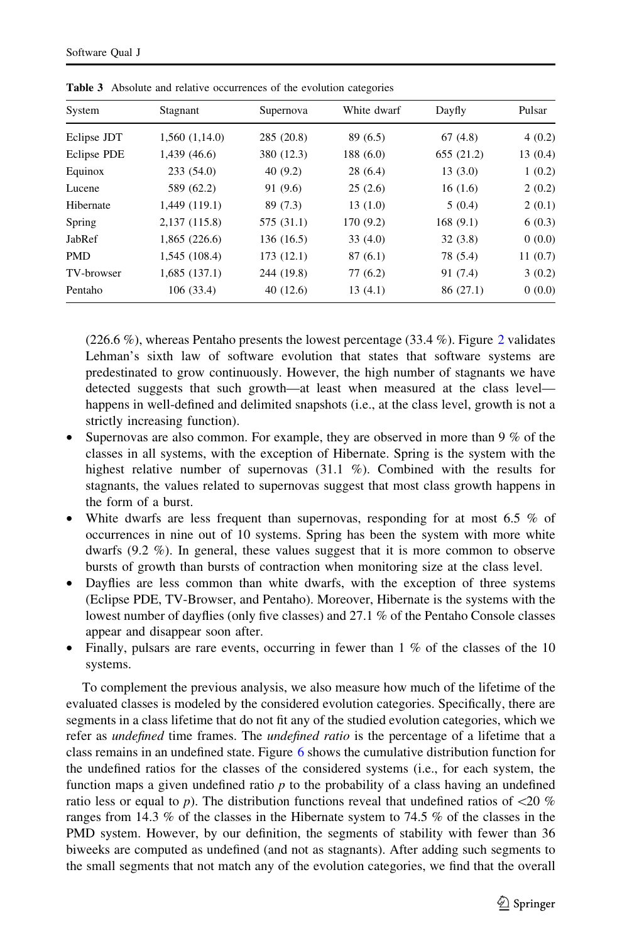| System             | Stagnant      | Supernova  | White dwarf | Dayfly     | Pulsar  |
|--------------------|---------------|------------|-------------|------------|---------|
| Eclipse JDT        | 1,560(1,14.0) | 285 (20.8) | 89 (6.5)    | 67(4.8)    | 4(0.2)  |
| <b>Eclipse PDE</b> | 1,439 (46.6)  | 380 (12.3) | 188 (6.0)   | 655 (21.2) | 13(0.4) |
| Equinox            | 233(54.0)     | 40(9.2)    | 28(6.4)     | 13(3.0)    | 1(0.2)  |
| Lucene             | 589 (62.2)    | 91 (9.6)   | 25(2.6)     | 16(1.6)    | 2(0.2)  |
| Hibernate          | 1,449 (119.1) | 89 (7.3)   | 13(1.0)     | 5(0.4)     | 2(0.1)  |
| Spring             | 2,137 (115.8) | 575 (31.1) | 170 (9.2)   | 168(9.1)   | 6(0.3)  |
| JabRef             | 1,865 (226.6) | 136 (16.5) | 33(4.0)     | 32(3.8)    | 0(0.0)  |
| <b>PMD</b>         | 1,545 (108.4) | 173(12.1)  | 87(6.1)     | 78 (5.4)   | 11(0.7) |
| TV-browser         | 1,685(137.1)  | 244 (19.8) | 77(6.2)     | 91 (7.4)   | 3(0.2)  |
| Pentaho            | 106(33.4)     | 40(12.6)   | 13(4.1)     | 86 (27.1)  | 0(0.0)  |

<span id="page-10-0"></span>Table 3 Absolute and relative occurrences of the evolution categories

(226.6 %), whereas Pentaho presents the lowest percentage (33.4 %). Figure [2](#page-5-0) validates Lehman's sixth law of software evolution that states that software systems are predestinated to grow continuously. However, the high number of stagnants we have detected suggests that such growth—at least when measured at the class level happens in well-defined and delimited snapshots (i.e., at the class level, growth is not a strictly increasing function).

- Supernovas are also common. For example, they are observed in more than 9 % of the classes in all systems, with the exception of Hibernate. Spring is the system with the highest relative number of supernovas (31.1 %). Combined with the results for stagnants, the values related to supernovas suggest that most class growth happens in the form of a burst.
- White dwarfs are less frequent than supernovas, responding for at most 6.5  $\%$  of occurrences in nine out of 10 systems. Spring has been the system with more white dwarfs (9.2 %). In general, these values suggest that it is more common to observe bursts of growth than bursts of contraction when monitoring size at the class level.
- Dayflies are less common than white dwarfs, with the exception of three systems (Eclipse PDE, TV-Browser, and Pentaho). Moreover, Hibernate is the systems with the lowest number of dayflies (only five classes) and 27.1 % of the Pentaho Console classes appear and disappear soon after.
- Finally, pulsars are rare events, occurring in fewer than 1 % of the classes of the 10 systems.

To complement the previous analysis, we also measure how much of the lifetime of the evaluated classes is modeled by the considered evolution categories. Specifically, there are segments in a class lifetime that do not fit any of the studied evolution categories, which we refer as undefined time frames. The undefined ratio is the percentage of a lifetime that a class remains in an undefined state. Figure [6](#page-11-0) shows the cumulative distribution function for the undefined ratios for the classes of the considered systems (i.e., for each system, the function maps a given undefined ratio  $p$  to the probability of a class having an undefined ratio less or equal to p). The distribution functions reveal that undefined ratios of  $\langle 20 \, \% \rangle$ ranges from 14.3 % of the classes in the Hibernate system to 74.5 % of the classes in the PMD system. However, by our definition, the segments of stability with fewer than 36 biweeks are computed as undefined (and not as stagnants). After adding such segments to the small segments that not match any of the evolution categories, we find that the overall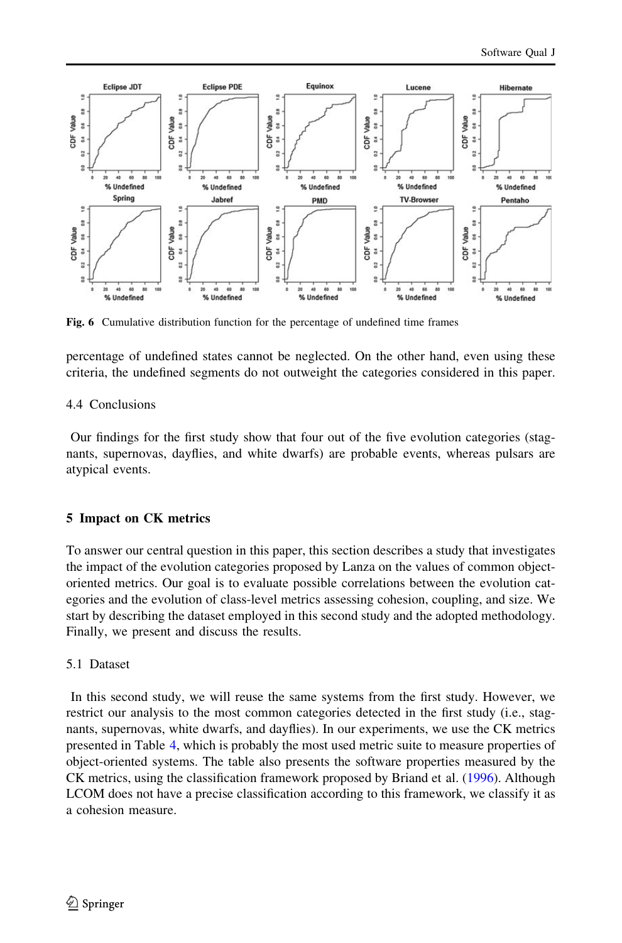<span id="page-11-0"></span>

Fig. 6 Cumulative distribution function for the percentage of undefined time frames

percentage of undefined states cannot be neglected. On the other hand, even using these criteria, the undefined segments do not outweight the categories considered in this paper.

## 4.4 Conclusions

Our findings for the first study show that four out of the five evolution categories (stagnants, supernovas, dayflies, and white dwarfs) are probable events, whereas pulsars are atypical events.

## 5 Impact on CK metrics

To answer our central question in this paper, this section describes a study that investigates the impact of the evolution categories proposed by Lanza on the values of common objectoriented metrics. Our goal is to evaluate possible correlations between the evolution categories and the evolution of class-level metrics assessing cohesion, coupling, and size. We start by describing the dataset employed in this second study and the adopted methodology. Finally, we present and discuss the results.

## 5.1 Dataset

In this second study, we will reuse the same systems from the first study. However, we restrict our analysis to the most common categories detected in the first study (i.e., stagnants, supernovas, white dwarfs, and dayflies). In our experiments, we use the CK metrics presented in Table [4,](#page-12-0) which is probably the most used metric suite to measure properties of object-oriented systems. The table also presents the software properties measured by the CK metrics, using the classification framework proposed by Briand et al. ([1996\)](#page-17-0). Although LCOM does not have a precise classification according to this framework, we classify it as a cohesion measure.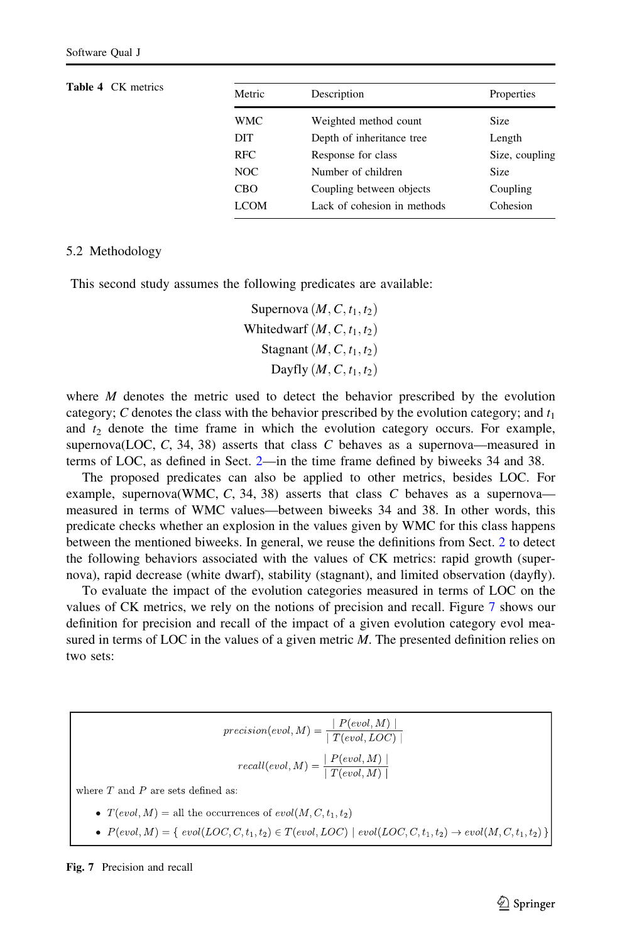<span id="page-12-0"></span>

| <b>Table 4 CK metrics</b> | Metric      | Description                 | Properties     |
|---------------------------|-------------|-----------------------------|----------------|
|                           | WMC         | Weighted method count       | <b>Size</b>    |
|                           | DIT         | Depth of inheritance tree   | Length         |
|                           | <b>RFC</b>  | Response for class          | Size, coupling |
|                           | NOC         | Number of children          | <b>Size</b>    |
|                           | <b>CBO</b>  | Coupling between objects    | Coupling       |
|                           | <b>LCOM</b> | Lack of cohesion in methods | Cohesion       |

#### 5.2 Methodology

This second study assumes the following predicates are available:

Supernova  $(M, C, t_1, t_2)$ Whitedwarf  $(M, C, t_1, t_2)$ Stagnant $(M, C, t_1, t_2)$ Dayfly  $(M, C, t_1, t_2)$ 

where  $M$  denotes the metric used to detect the behavior prescribed by the evolution category; C denotes the class with the behavior prescribed by the evolution category; and  $t_1$ and  $t_2$  denote the time frame in which the evolution category occurs. For example, supernova(LOC, C, 34, 38) asserts that class C behaves as a supernova—measured in terms of LOC, as defined in Sect. [2—](#page-1-0)in the time frame defined by biweeks 34 and 38.

The proposed predicates can also be applied to other metrics, besides LOC. For example, supernova(WMC,  $C$ , 34, 38) asserts that class C behaves as a supernovameasured in terms of WMC values—between biweeks 34 and 38. In other words, this predicate checks whether an explosion in the values given by WMC for this class happens between the mentioned biweeks. In general, we reuse the definitions from Sect. [2](#page-1-0) to detect the following behaviors associated with the values of CK metrics: rapid growth (supernova), rapid decrease (white dwarf), stability (stagnant), and limited observation (dayfly).

To evaluate the impact of the evolution categories measured in terms of LOC on the values of CK metrics, we rely on the notions of precision and recall. Figure 7 shows our definition for precision and recall of the impact of a given evolution category evol measured in terms of LOC in the values of a given metric  $M$ . The presented definition relies on two sets:

 $\mathit{precision}(evol,M) = \frac{\mid P(evol, M) \mid}{\mid T(evol, LOC \mid}$  $recall(evol, M) = \frac{|P(evol, M)|}{|T(evol, M)|}$ where  ${\cal T}$  and  ${\cal P}$  are sets defined as: •  $T(evol, M) =$  all the occurrences of  $evol(M, C, t_1, t_2)$ 

•  $P(evol, M) = \{ \; evol(LOC, C, t_1, t_2) \in T(evol, LOC) \mid evol(LOC, C, t_1, t_2) \rightarrow evol(M, C, t_1, t_2) \}$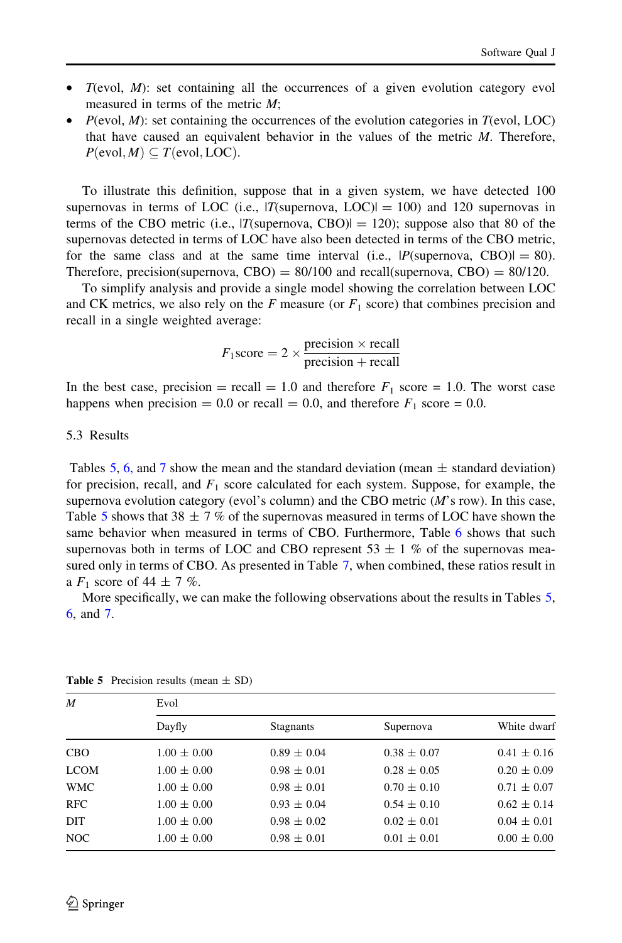- $T(\text{evol}, M)$ : set containing all the occurrences of a given evolution category evol measured in terms of the metric M;
- $P(\text{evol}, M)$ : set containing the occurrences of the evolution categories in  $T(\text{evol}, \text{LOC})$ that have caused an equivalent behavior in the values of the metric M. Therefore,  $P(\text{evol}, M) \subseteq T(\text{evol}, \text{LOC}).$

To illustrate this definition, suppose that in a given system, we have detected 100 supernovas in terms of LOC (i.e.,  $|T(\text{supernova}, \text{LOC})| = 100$ ) and 120 supernovas in terms of the CBO metric (i.e.,  $|T(\text{supernova}, \text{CBO})| = 120$ ); suppose also that 80 of the supernovas detected in terms of LOC have also been detected in terms of the CBO metric, for the same class and at the same time interval (i.e.,  $|P(\text{supernova}, \text{ CBO})| = 80$ ). Therefore, precision(supernova, CBO) =  $80/100$  and recall(supernova, CBO) =  $80/120$ .

To simplify analysis and provide a single model showing the correlation between LOC and CK metrics, we also rely on the F measure (or  $F_1$  score) that combines precision and recall in a single weighted average:

$$
F_1 \text{score} = 2 \times \frac{\text{precision} \times \text{recall}}{\text{precision} + \text{recall}}
$$

In the best case, precision = recall = 1.0 and therefore  $F_1$  score = 1.0. The worst case happens when precision = 0.0 or recall = 0.0, and therefore  $F_1$  score = 0.0.

## 5.3 Results

Tables 5, [6,](#page-14-0) and [7](#page-14-0) show the mean and the standard deviation (mean  $\pm$  standard deviation) for precision, recall, and  $F_1$  score calculated for each system. Suppose, for example, the supernova evolution category (evol's column) and the CBO metric (M's row). In this case, Table 5 shows that 38  $\pm$  7% of the supernovas measured in terms of LOC have shown the same behavior when measured in terms of CBO. Furthermore, Table [6](#page-14-0) shows that such supernovas both in terms of LOC and CBO represent 53  $\pm$  1 % of the supernovas measured only in terms of CBO. As presented in Table [7,](#page-14-0) when combined, these ratios result in a  $F_1$  score of 44  $\pm$  7 %.

More specifically, we can make the following observations about the results in Tables 5, [6](#page-14-0), and [7.](#page-14-0)

| M           | Evol            |                  |                 |                 |  |  |
|-------------|-----------------|------------------|-----------------|-----------------|--|--|
|             | Dayfly          | <b>Stagnants</b> | Supernova       | White dwarf     |  |  |
| <b>CBO</b>  | $1.00 \pm 0.00$ | $0.89 \pm 0.04$  | $0.38 \pm 0.07$ | $0.41 \pm 0.16$ |  |  |
| <b>LCOM</b> | $1.00 \pm 0.00$ | $0.98 \pm 0.01$  | $0.28 \pm 0.05$ | $0.20 \pm 0.09$ |  |  |
| <b>WMC</b>  | $1.00 \pm 0.00$ | $0.98 \pm 0.01$  | $0.70 \pm 0.10$ | $0.71 \pm 0.07$ |  |  |
| <b>RFC</b>  | $1.00 \pm 0.00$ | $0.93 \pm 0.04$  | $0.54 \pm 0.10$ | $0.62 \pm 0.14$ |  |  |
| DIT         | $1.00 \pm 0.00$ | $0.98 \pm 0.02$  | $0.02 \pm 0.01$ | $0.04 \pm 0.01$ |  |  |
| NOC         | $1.00 \pm 0.00$ | $0.98 \pm 0.01$  | $0.01 \pm 0.01$ | $0.00 \pm 0.00$ |  |  |

**Table 5** Precision results (mean  $\pm$  SD)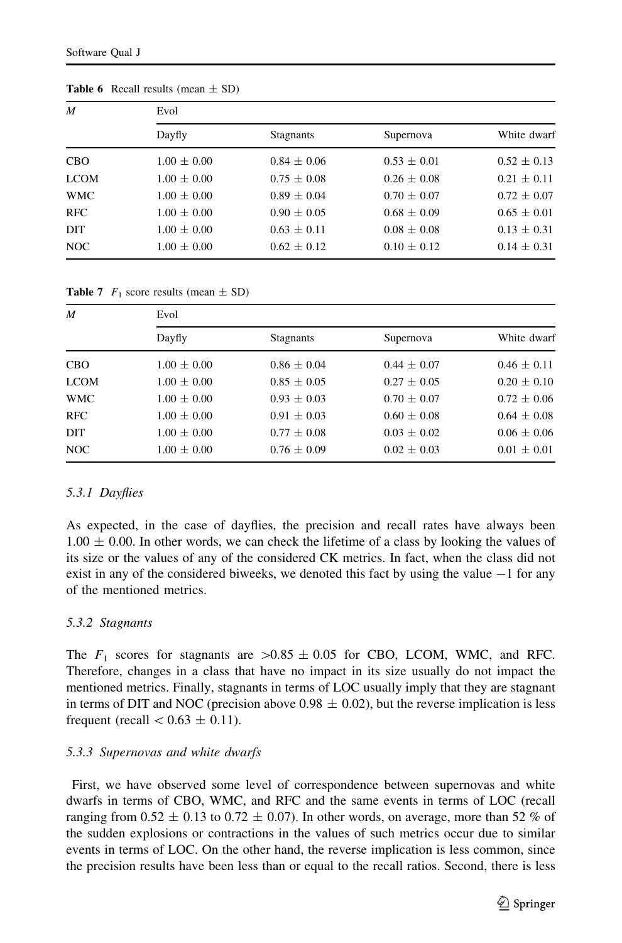| M           | Evol            |                  |                 |                 |  |  |
|-------------|-----------------|------------------|-----------------|-----------------|--|--|
|             | Dayfly          | <b>Stagnants</b> | Supernova       | White dwarf     |  |  |
| <b>CBO</b>  | $1.00 \pm 0.00$ | $0.84 \pm 0.06$  | $0.53 \pm 0.01$ | $0.52 \pm 0.13$ |  |  |
| <b>LCOM</b> | $1.00 \pm 0.00$ | $0.75 \pm 0.08$  | $0.26 \pm 0.08$ | $0.21 \pm 0.11$ |  |  |
| <b>WMC</b>  | $1.00 \pm 0.00$ | $0.89 \pm 0.04$  | $0.70 \pm 0.07$ | $0.72 \pm 0.07$ |  |  |
| <b>RFC</b>  | $1.00 \pm 0.00$ | $0.90 \pm 0.05$  | $0.68 \pm 0.09$ | $0.65 \pm 0.01$ |  |  |
| <b>DIT</b>  | $1.00 \pm 0.00$ | $0.63 \pm 0.11$  | $0.08 \pm 0.08$ | $0.13 \pm 0.31$ |  |  |
| NOC         | $1.00 \pm 0.00$ | $0.62 \pm 0.12$  | $0.10 \pm 0.12$ | $0.14 \pm 0.31$ |  |  |

<span id="page-14-0"></span>**Table 6** Recall results (mean  $\pm$  SD)

**Table 7**  $F_1$  score results (mean  $\pm$  SD)

| M           | Evol            |                  |                 |                 |  |  |
|-------------|-----------------|------------------|-----------------|-----------------|--|--|
|             | Dayfly          | <b>Stagnants</b> | Supernova       | White dwarf     |  |  |
| <b>CBO</b>  | $1.00 \pm 0.00$ | $0.86 \pm 0.04$  | $0.44 \pm 0.07$ | $0.46 \pm 0.11$ |  |  |
| <b>LCOM</b> | $1.00 \pm 0.00$ | $0.85 \pm 0.05$  | $0.27 \pm 0.05$ | $0.20 \pm 0.10$ |  |  |
| <b>WMC</b>  | $1.00 \pm 0.00$ | $0.93 \pm 0.03$  | $0.70 \pm 0.07$ | $0.72 \pm 0.06$ |  |  |
| <b>RFC</b>  | $1.00 \pm 0.00$ | $0.91 \pm 0.03$  | $0.60 \pm 0.08$ | $0.64 \pm 0.08$ |  |  |
| DIT         | $1.00 \pm 0.00$ | $0.77 \pm 0.08$  | $0.03 \pm 0.02$ | $0.06 \pm 0.06$ |  |  |
| NOC         | $1.00 \pm 0.00$ | $0.76 \pm 0.09$  | $0.02 \pm 0.03$ | $0.01 \pm 0.01$ |  |  |

## 5.3.1 Dayflies

As expected, in the case of dayflies, the precision and recall rates have always been  $1.00 \pm 0.00$ . In other words, we can check the lifetime of a class by looking the values of its size or the values of any of the considered CK metrics. In fact, when the class did not exist in any of the considered biweeks, we denoted this fact by using the value  $-1$  for any of the mentioned metrics.

#### 5.3.2 Stagnants

The  $F_1$  scores for stagnants are  $>0.85 \pm 0.05$  for CBO, LCOM, WMC, and RFC. Therefore, changes in a class that have no impact in its size usually do not impact the mentioned metrics. Finally, stagnants in terms of LOC usually imply that they are stagnant in terms of DIT and NOC (precision above  $0.98 \pm 0.02$ ), but the reverse implication is less frequent (recall  $< 0.63 \pm 0.11$ ).

## 5.3.3 Supernovas and white dwarfs

First, we have observed some level of correspondence between supernovas and white dwarfs in terms of CBO, WMC, and RFC and the same events in terms of LOC (recall ranging from 0.52  $\pm$  0.13 to 0.72  $\pm$  0.07). In other words, on average, more than 52 % of the sudden explosions or contractions in the values of such metrics occur due to similar events in terms of LOC. On the other hand, the reverse implication is less common, since the precision results have been less than or equal to the recall ratios. Second, there is less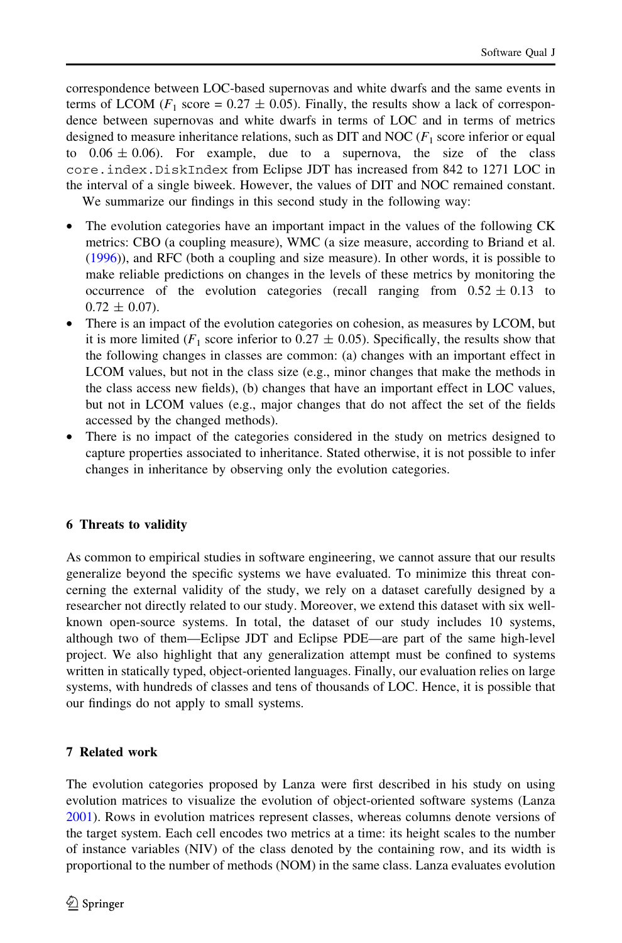<span id="page-15-0"></span>correspondence between LOC-based supernovas and white dwarfs and the same events in terms of LCOM ( $F_1$  score = 0.27  $\pm$  0.05). Finally, the results show a lack of correspondence between supernovas and white dwarfs in terms of LOC and in terms of metrics designed to measure inheritance relations, such as DIT and NOC  $(F_1)$  score inferior or equal to  $0.06 \pm 0.06$ ). For example, due to a supernova, the size of the class core.index.DiskIndex from Eclipse JDT has increased from 842 to 1271 LOC in the interval of a single biweek. However, the values of DIT and NOC remained constant.

We summarize our findings in this second study in the following way:

- The evolution categories have an important impact in the values of the following CK metrics: CBO (a coupling measure), WMC (a size measure, according to Briand et al. ([1996\)](#page-17-0)), and RFC (both a coupling and size measure). In other words, it is possible to make reliable predictions on changes in the levels of these metrics by monitoring the occurrence of the evolution categories (recall ranging from  $0.52 \pm 0.13$  to  $0.72 \pm 0.07$ .
- There is an impact of the evolution categories on cohesion, as measures by LCOM, but it is more limited ( $F_1$  score inferior to 0.27  $\pm$  0.05). Specifically, the results show that the following changes in classes are common: (a) changes with an important effect in LCOM values, but not in the class size (e.g., minor changes that make the methods in the class access new fields), (b) changes that have an important effect in LOC values, but not in LCOM values (e.g., major changes that do not affect the set of the fields accessed by the changed methods).
- There is no impact of the categories considered in the study on metrics designed to capture properties associated to inheritance. Stated otherwise, it is not possible to infer changes in inheritance by observing only the evolution categories.

# 6 Threats to validity

As common to empirical studies in software engineering, we cannot assure that our results generalize beyond the specific systems we have evaluated. To minimize this threat concerning the external validity of the study, we rely on a dataset carefully designed by a researcher not directly related to our study. Moreover, we extend this dataset with six wellknown open-source systems. In total, the dataset of our study includes 10 systems, although two of them—Eclipse JDT and Eclipse PDE—are part of the same high-level project. We also highlight that any generalization attempt must be confined to systems written in statically typed, object-oriented languages. Finally, our evaluation relies on large systems, with hundreds of classes and tens of thousands of LOC. Hence, it is possible that our findings do not apply to small systems.

# 7 Related work

The evolution categories proposed by Lanza were first described in his study on using evolution matrices to visualize the evolution of object-oriented software systems (Lanza [2001\)](#page-18-0). Rows in evolution matrices represent classes, whereas columns denote versions of the target system. Each cell encodes two metrics at a time: its height scales to the number of instance variables (NIV) of the class denoted by the containing row, and its width is proportional to the number of methods (NOM) in the same class. Lanza evaluates evolution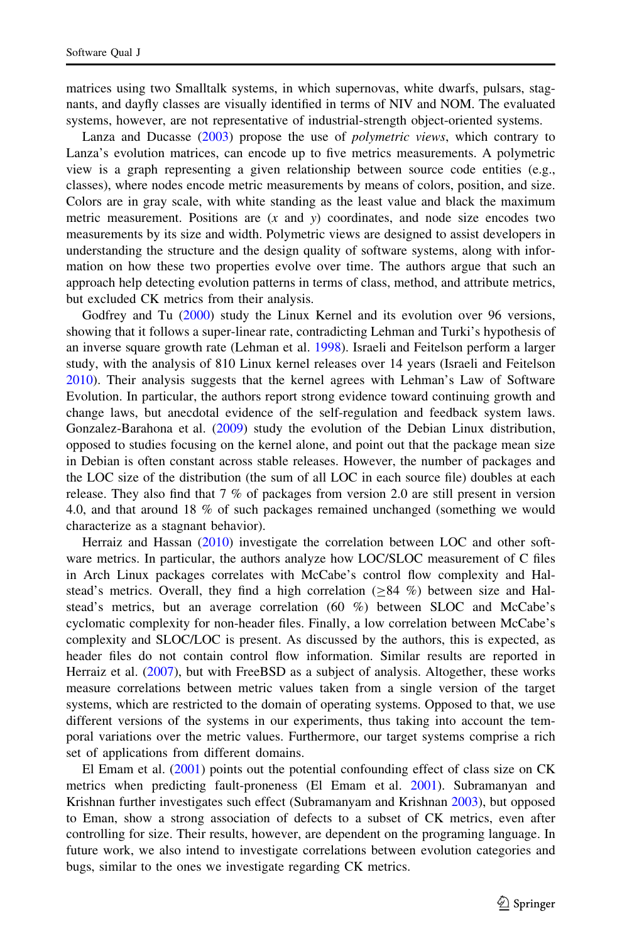matrices using two Smalltalk systems, in which supernovas, white dwarfs, pulsars, stagnants, and dayfly classes are visually identified in terms of NIV and NOM. The evaluated systems, however, are not representative of industrial-strength object-oriented systems.

Lanza and Ducasse ([2003\)](#page-18-0) propose the use of polymetric views, which contrary to Lanza's evolution matrices, can encode up to five metrics measurements. A polymetric view is a graph representing a given relationship between source code entities (e.g., classes), where nodes encode metric measurements by means of colors, position, and size. Colors are in gray scale, with white standing as the least value and black the maximum metric measurement. Positions are  $(x \text{ and } y)$  coordinates, and node size encodes two measurements by its size and width. Polymetric views are designed to assist developers in understanding the structure and the design quality of software systems, along with information on how these two properties evolve over time. The authors argue that such an approach help detecting evolution patterns in terms of class, method, and attribute metrics, but excluded CK metrics from their analysis.

Godfrey and Tu ([2000](#page-17-0)) study the Linux Kernel and its evolution over 96 versions, showing that it follows a super-linear rate, contradicting Lehman and Turki's hypothesis of an inverse square growth rate (Lehman et al. [1998](#page-18-0)). Israeli and Feitelson perform a larger study, with the analysis of 810 Linux kernel releases over 14 years (Israeli and Feitelson [2010\)](#page-18-0). Their analysis suggests that the kernel agrees with Lehman's Law of Software Evolution. In particular, the authors report strong evidence toward continuing growth and change laws, but anecdotal evidence of the self-regulation and feedback system laws. Gonzalez-Barahona et al. [\(2009\)](#page-17-0) study the evolution of the Debian Linux distribution, opposed to studies focusing on the kernel alone, and point out that the package mean size in Debian is often constant across stable releases. However, the number of packages and the LOC size of the distribution (the sum of all LOC in each source file) doubles at each release. They also find that 7 % of packages from version 2.0 are still present in version 4.0, and that around 18 % of such packages remained unchanged (something we would characterize as a stagnant behavior).

Herraiz and Hassan ([2010\)](#page-18-0) investigate the correlation between LOC and other software metrics. In particular, the authors analyze how LOC/SLOC measurement of C files in Arch Linux packages correlates with McCabe's control flow complexity and Halstead's metrics. Overall, they find a high correlation  $(\geq 84 \%)$  between size and Halstead's metrics, but an average correlation (60 %) between SLOC and McCabe's cyclomatic complexity for non-header files. Finally, a low correlation between McCabe's complexity and SLOC/LOC is present. As discussed by the authors, this is expected, as header files do not contain control flow information. Similar results are reported in Herraiz et al. [\(2007\)](#page-17-0), but with FreeBSD as a subject of analysis. Altogether, these works measure correlations between metric values taken from a single version of the target systems, which are restricted to the domain of operating systems. Opposed to that, we use different versions of the systems in our experiments, thus taking into account the temporal variations over the metric values. Furthermore, our target systems comprise a rich set of applications from different domains.

El Emam et al. [\(2001](#page-17-0)) points out the potential confounding effect of class size on CK metrics when predicting fault-proneness (El Emam et al. [2001](#page-17-0)). Subramanyan and Krishnan further investigates such effect (Subramanyam and Krishnan [2003](#page-18-0)), but opposed to Eman, show a strong association of defects to a subset of CK metrics, even after controlling for size. Their results, however, are dependent on the programing language. In future work, we also intend to investigate correlations between evolution categories and bugs, similar to the ones we investigate regarding CK metrics.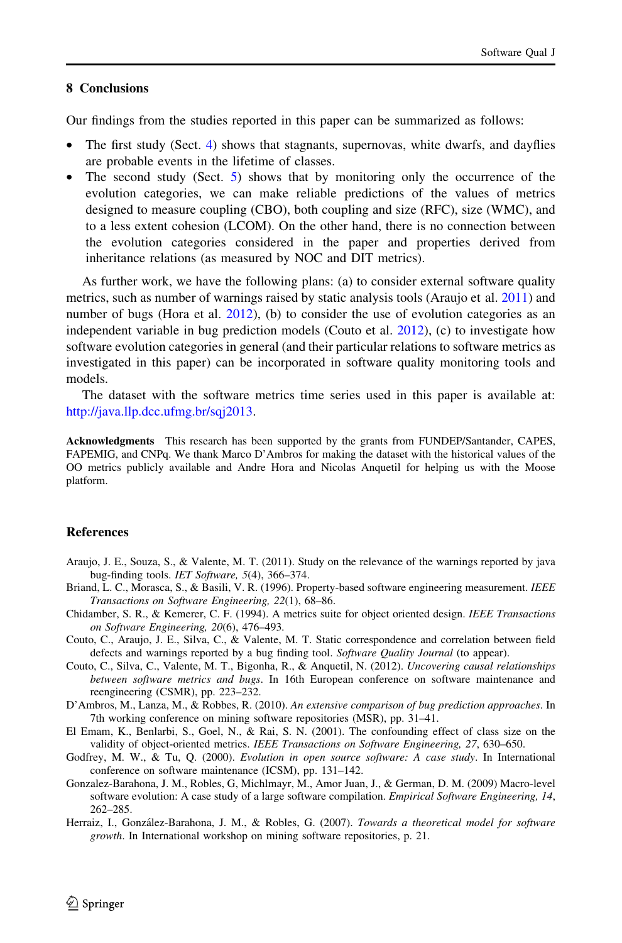## <span id="page-17-0"></span>8 Conclusions

Our findings from the studies reported in this paper can be summarized as follows:

- The first study (Sect. [4](#page-7-0)) shows that stagnants, supernovas, white dwarfs, and dayflies are probable events in the lifetime of classes.
- The second study (Sect. [5\)](#page-11-0) shows that by monitoring only the occurrence of the evolution categories, we can make reliable predictions of the values of metrics designed to measure coupling (CBO), both coupling and size (RFC), size (WMC), and to a less extent cohesion (LCOM). On the other hand, there is no connection between the evolution categories considered in the paper and properties derived from inheritance relations (as measured by NOC and DIT metrics).

As further work, we have the following plans: (a) to consider external software quality metrics, such as number of warnings raised by static analysis tools (Araujo et al. 2011) and number of bugs (Hora et al.  $2012$ ), (b) to consider the use of evolution categories as an independent variable in bug prediction models (Couto et al. 2012), (c) to investigate how software evolution categories in general (and their particular relations to software metrics as investigated in this paper) can be incorporated in software quality monitoring tools and models.

The dataset with the software metrics time series used in this paper is available at: [http://java.llp.dcc.ufmg.br/sqj2013.](http://java.llp.dcc.ufmg.br/sqj2013)

Acknowledgments This research has been supported by the grants from FUNDEP/Santander, CAPES, FAPEMIG, and CNPq. We thank Marco D'Ambros for making the dataset with the historical values of the OO metrics publicly available and Andre Hora and Nicolas Anquetil for helping us with the Moose platform.

#### **References**

- Araujo, J. E., Souza, S., & Valente, M. T. (2011). Study on the relevance of the warnings reported by java bug-finding tools. IET Software, 5(4), 366–374.
- Briand, L. C., Morasca, S., & Basili, V. R. (1996). Property-based software engineering measurement. IEEE Transactions on Software Engineering, 22(1), 68–86.
- Chidamber, S. R., & Kemerer, C. F. (1994). A metrics suite for object oriented design. IEEE Transactions on Software Engineering, 20(6), 476–493.
- Couto, C., Araujo, J. E., Silva, C., & Valente, M. T. Static correspondence and correlation between field defects and warnings reported by a bug finding tool. Software Quality Journal (to appear).
- Couto, C., Silva, C., Valente, M. T., Bigonha, R., & Anquetil, N. (2012). Uncovering causal relationships between software metrics and bugs. In 16th European conference on software maintenance and reengineering (CSMR), pp. 223–232.
- D'Ambros, M., Lanza, M., & Robbes, R. (2010). An extensive comparison of bug prediction approaches. In 7th working conference on mining software repositories (MSR), pp. 31–41.
- El Emam, K., Benlarbi, S., Goel, N., & Rai, S. N. (2001). The confounding effect of class size on the validity of object-oriented metrics. IEEE Transactions on Software Engineering, 27, 630–650.
- Godfrey, M. W., & Tu, O. (2000). Evolution in open source software: A case study. In International conference on software maintenance (ICSM), pp. 131–142.
- Gonzalez-Barahona, J. M., Robles, G, Michlmayr, M., Amor Juan, J., & German, D. M. (2009) Macro-level software evolution: A case study of a large software compilation. Empirical Software Engineering, 14, 262–285.
- Herraiz, I., González-Barahona, J. M., & Robles, G. (2007). Towards a theoretical model for software growth. In International workshop on mining software repositories, p. 21.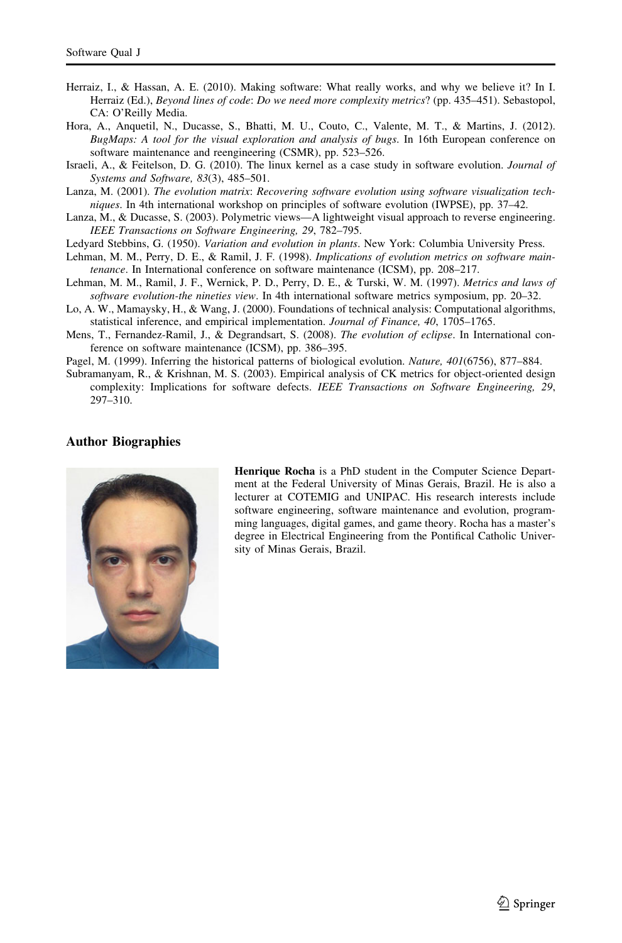- <span id="page-18-0"></span>Herraiz, I., & Hassan, A. E. (2010). Making software: What really works, and why we believe it? In I. Herraiz (Ed.), Beyond lines of code: Do we need more complexity metrics? (pp. 435–451). Sebastopol, CA: O'Reilly Media.
- Hora, A., Anquetil, N., Ducasse, S., Bhatti, M. U., Couto, C., Valente, M. T., & Martins, J. (2012). BugMaps: A tool for the visual exploration and analysis of bugs. In 16th European conference on software maintenance and reengineering (CSMR), pp. 523–526.
- Israeli, A., & Feitelson, D. G. (2010). The linux kernel as a case study in software evolution. Journal of Systems and Software, 83(3), 485–501.
- Lanza, M. (2001). The evolution matrix: Recovering software evolution using software visualization techniques. In 4th international workshop on principles of software evolution (IWPSE), pp. 37–42.
- Lanza, M., & Ducasse, S. (2003). Polymetric views—A lightweight visual approach to reverse engineering. IEEE Transactions on Software Engineering, 29, 782–795.
- Ledyard Stebbins, G. (1950). Variation and evolution in plants. New York: Columbia University Press.
- Lehman, M. M., Perry, D. E., & Ramil, J. F. (1998). Implications of evolution metrics on software maintenance. In International conference on software maintenance (ICSM), pp. 208–217.
- Lehman, M. M., Ramil, J. F., Wernick, P. D., Perry, D. E., & Turski, W. M. (1997). Metrics and laws of software evolution-the nineties view. In 4th international software metrics symposium, pp. 20–32.
- Lo, A. W., Mamaysky, H., & Wang, J. (2000). Foundations of technical analysis: Computational algorithms, statistical inference, and empirical implementation. Journal of Finance, 40, 1705–1765.
- Mens, T., Fernandez-Ramil, J., & Degrandsart, S. (2008). The evolution of eclipse. In International conference on software maintenance (ICSM), pp. 386–395.
- Pagel, M. (1999). Inferring the historical patterns of biological evolution. Nature, 401(6756), 877–884.
- Subramanyam, R., & Krishnan, M. S. (2003). Empirical analysis of CK metrics for object-oriented design complexity: Implications for software defects. IEEE Transactions on Software Engineering, 29, 297–310.

#### Author Biographies



Henrique Rocha is a PhD student in the Computer Science Department at the Federal University of Minas Gerais, Brazil. He is also a lecturer at COTEMIG and UNIPAC. His research interests include software engineering, software maintenance and evolution, programming languages, digital games, and game theory. Rocha has a master's degree in Electrical Engineering from the Pontifical Catholic University of Minas Gerais, Brazil.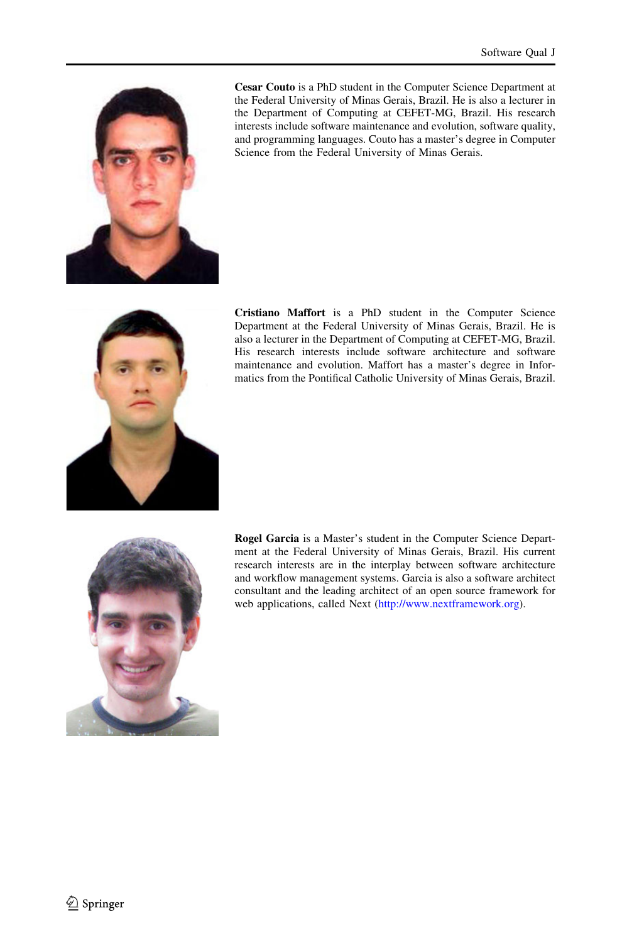

Cesar Couto is a PhD student in the Computer Science Department at the Federal University of Minas Gerais, Brazil. He is also a lecturer in the Department of Computing at CEFET-MG, Brazil. His research interests include software maintenance and evolution, software quality, and programming languages. Couto has a master's degree in Computer Science from the Federal University of Minas Gerais.



Cristiano Maffort is a PhD student in the Computer Science Department at the Federal University of Minas Gerais, Brazil. He is also a lecturer in the Department of Computing at CEFET-MG, Brazil. His research interests include software architecture and software maintenance and evolution. Maffort has a master's degree in Informatics from the Pontifical Catholic University of Minas Gerais, Brazil.



Rogel Garcia is a Master's student in the Computer Science Department at the Federal University of Minas Gerais, Brazil. His current research interests are in the interplay between software architecture and workflow management systems. Garcia is also a software architect consultant and the leading architect of an open source framework for web applications, called Next (<http://www.nextframework.org>).